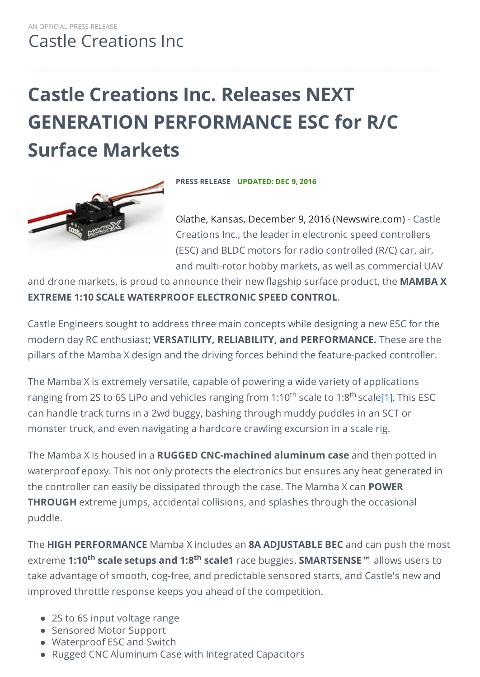# **Castle Creations Inc. Releases NEXT GENERATION PERFORMANCE ESC for R/C Surface Markets**



**PRESS RELEASE UPDATED: DEC 9, 2016**

Olathe, Kansas, December 9, 2016 (Newswire.com) - Castle Creations Inc., the leader in electronic speed controllers (ESC) and BLDC motors for radio controlled (R/C) car, air, and multi-rotor hobby markets, as well as commercial UAV

and drone markets, is proud to announce their new flagship surface product, the **MAMBA X EXTREME 1:10 SCALE WATERPROOF ELECTRONIC SPEED CONTROL**.

Castle Engineers sought to address three main concepts while designing a new ESC for the modern day RC enthusiast; **VERSATILITY, RELIABILITY, and PERFORMANCE.** These are the pillars of the Mamba X design and the driving forces behind the feature-packed controller.

The Mamba X is extremely versatile, capable of powering a wide variety of applications ranging from 2S to 6S LiPo and vehicles ranging from 1:10<sup>th</sup> scale to 1:8<sup>th</sup> scal[e\[1\].](https://www.newswire.com/#_ftn1) This ESC can handle track turns in a 2wd buggy, bashing through muddy puddles in an SCT or monster truck, and even navigating a hardcore crawling excursion in a scale rig.

The Mamba X is housed in a **RUGGED CNC-machined aluminum case** and then potted in waterproof epoxy. This not only protects the electronics but ensures any heat generated in the controller can easily be dissipated through the case. The Mamba X can **POWER THROUGH** extreme jumps, accidental collisions, and splashes through the occasional puddle.

The **HIGH PERFORMANCE** Mamba X includes an **8A ADJUSTABLE BEC** and can push the most **extreme 1:10<sup>th</sup> scale setups and 1:8<sup>th</sup> scale1** race buggies. <code>SMARTSENSE™</code> allows users to take advantage of smooth, cog-free, and predictable sensored starts, and Castle's new and improved throttle response keeps you ahead of the competition.

- 2S to 6S input voltage range
- Sensored Motor Support
- Waterproof ESC and Switch
- Rugged CNC Aluminum Case with Integrated Capacitors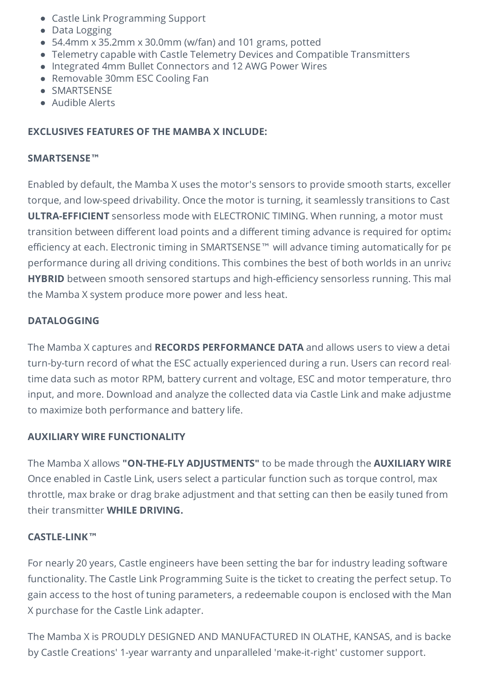- Castle Link Programming Support
- Data Logging
- 54.4mm x 35.2mm x 30.0mm (w/fan) and 101 grams, potted
- Telemetry capable with Castle Telemetry Devices and Compatible Transmitters
- Integrated 4mm Bullet Connectors and 12 AWG Power Wires
- Removable 30mm ESC Cooling Fan
- SMARTSENSE
- Audible Alerts

### **EXCLUSIVES FEATURES OF THE MAMBA X INCLUDE:**

#### **SMARTSENSE™**

Enabled by default, the Mamba X uses the motor's sensors to provide smooth starts, excellent torque, and low-speed drivability. Once the motor is turning, it seamlessly transitions to Cast **ULTRA-EFFICIENT** sensorless mode with ELECTRONIC TIMING. When running, a motor must transition between different load points and a different timing advance is required for optimal efficiency at each. Electronic timing in SMARTSENSE™ will advance timing automatically for pe performance during all driving conditions. This combines the best of both worlds in an unrival HYBRID between smooth sensored startups and high-efficiency sensorless running. This mal the Mamba X system produce more power and less heat.

### **DATALOGGING**

The Mamba X captures and **RECORDS PERFORMANCE DATA** and allows users to view a detailed turn-by-turn record of what the ESC actually experienced during a run. Users can record realtime data such as motor RPM, battery current and voltage, ESC and motor temperature, thro input, and more. Download and analyze the collected data via Castle Link and make adjustme to maximize both performance and battery life.

#### **AUXILIARY WIRE FUNCTIONALITY**

The Mamba X allows **"ON-THE-FLY ADJUSTMENTS"** to be made through the **AUXILIARY WIRE**. Once enabled in Castle Link, users select a particular function such as torque control, max throttle, max brake or drag brake adjustment and that setting can then be easily tuned from their transmitter **WHILE DRIVING.**

#### **CASTLE-LINK™**

For nearly 20 years, Castle engineers have been setting the bar for industry leading software functionality. The Castle Link Programming Suite is the ticket to creating the perfect setup. To gain access to the host of tuning parameters, a redeemable coupon is enclosed with the Man X purchase for the Castle Link adapter.

The Mamba X is PROUDLY DESIGNED AND MANUFACTURED IN OLATHE, KANSAS, and is backe by Castle Creations' 1-year warranty and unparalleled 'make-it-right' customer support.